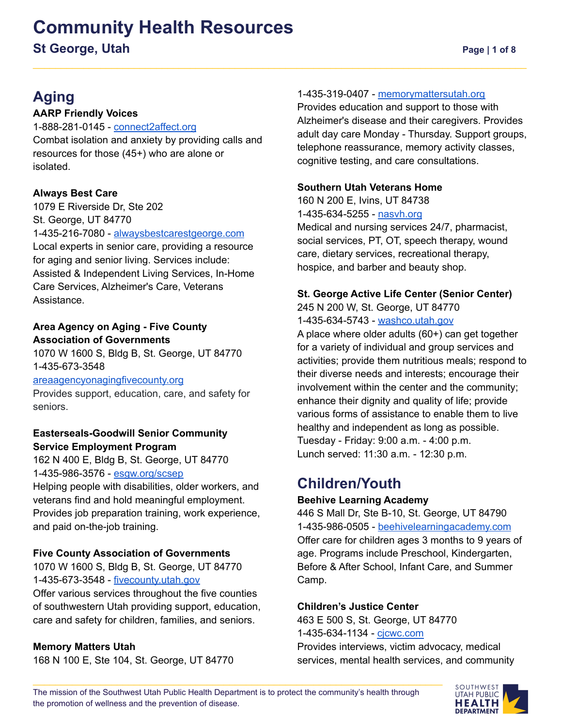# **Community Health Resources St George, Utah Page | 1 of 8**

# **Aging**

#### **AARP Friendly Voices**

1-888-281-0145 - [connect2affect.org](https://connect2affect.org/) Combat isolation and anxiety by providing calls and resources for those (45+) who are alone or isolated.

#### **Always Best Care**

1079 E Riverside Dr, Ste 202 St. George, UT 84770 1-435-216-7080 - [alwaysbestcarestgeorge.com](http://www.alwaysbestcarestgeorge.com) Local experts in senior care, providing a resource for aging and senior living. Services include: Assisted & Independent Living Services, In-Home Care Services, Alzheimer's Care, Veterans Assistance.

#### **Area Agency on Aging - Five County Association of Governments**

1070 W 1600 S, Bldg B, St. George, UT 84770 1-435-673-3548

[areaagencyonagingfivecounty.org](http://www.areaagencyonagingfivecounty.org)

Provides support, education, care, and safety for seniors.

#### **Easterseals-Goodwill Senior Community Service Employment Program**

162 N 400 E, Bldg B, St. George, UT 84770 1-435-986-3576 - [esgw.org/scsep](https://www.esgw.org/scsep/)

Helping people with disabilities, older workers, and veterans find and hold meaningful employment. Provides job preparation training, work experience, and paid on-the-job training.

#### **Five County Association of Governments**

1070 W 1600 S, Bldg B, St. George, UT 84770 1-435-673-3548 - [fivecounty.utah.gov](http://www.fivecounty.utah.gov/)

Offer various services throughout the five counties of southwestern Utah providing support, education, care and safety for children, families, and seniors.

#### **Memory Matters Utah**

168 N 100 E, Ste 104, St. George, UT 84770

#### 1-435-319-0407 - [memorymattersutah.org](http://www.memorymattersutah.org/)

Provides education and support to those with Alzheimer's disease and their caregivers. Provides adult day care Monday - Thursday. Support groups, telephone reassurance, memory activity classes, cognitive testing, and care consultations.

#### **Southern Utah Veterans Home**

160 N 200 E, Ivins, UT 84738 1-435-634-5255 - [nasvh.org](https://www.nasvh.org/state-homes/statedir-info.cfm?id=193) Medical and nursing services 24/7, pharmacist, social services, PT, OT, speech therapy, wound care, dietary services, recreational therapy, hospice, and barber and beauty shop.

#### **St. George Active Life Center (Senior Center)**

245 N 200 W, St. George, UT 84770 1-435-634-5743 - [washco.utah.gov](http://coa.washco.utah.gov/st-george)

A place where older adults (60+) can get together for a variety of individual and group services and activities; provide them nutritious meals; respond to their diverse needs and interests; encourage their involvement within the center and the community; enhance their dignity and quality of life; provide various forms of assistance to enable them to live healthy and independent as long as possible. Tuesday - Friday: 9:00 a.m. - 4:00 p.m. Lunch served: 11:30 a.m. - 12:30 p.m.

### **Children/Youth**

#### **Beehive Learning Academy**

446 S Mall Dr, Ste B-10, St. George, UT 84790 1-435-986-0505 - [beehivelearningacademy.com](https://www.beehivelearningacademy.com/) Offer care for children ages 3 months to 9 years of age. Programs include Preschool, Kindergarten, Before & After School, Infant Care, and Summer Camp.

#### **Children's Justice Center**

463 E 500 S, St. George, UT 84770 1-435-634-1134 - [cjcwc.com](https://cjcwc.com/) Provides interviews, victim advocacy, medical services, mental health services, and community

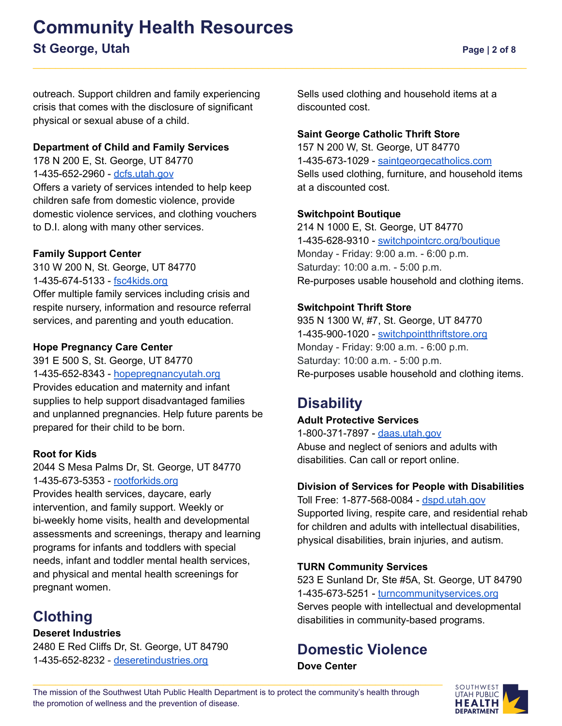# **Community Health Resources St George, Utah Page | 2 of 8**

outreach. Support children and family experiencing crisis that comes with the disclosure of significant physical or sexual abuse of a child.

#### **Department of Child and Family Services**

178 N 200 E, St. George, UT 84770 1-435-652-2960 - [dcfs.utah.gov](https://dcfs.utah.gov/) Offers a variety of services intended to help keep children safe from domestic violence, provide domestic violence services, and clothing vouchers to D.I. along with many other services.

#### **Family Support Center**

310 W 200 N, St. George, UT 84770 1-435-674-5133 - [fsc4kids.org](https://www.fsc4kids.org/) Offer multiple family services including crisis and respite nursery, information and resource referral services, and parenting and youth education.

#### **Hope Pregnancy Care Center**

391 E 500 S, St. George, UT 84770 1-435-652-8343 - [hopepregnancyutah.org](http://www.hopepregnancyutah.org/services) Provides education and maternity and infant supplies to help support disadvantaged families and unplanned pregnancies. Help future parents be prepared for their child to be born.

#### **Root for Kids**

2044 S Mesa [Palms](https://www.google.com/maps/place/2044+Mesa+Palms+Dr,+St+George,+UT+84770/@37.0733282,-113.6025018,17z/data=!3m1!4b1!4m2!3m1!1s0x80ca451486989507:0x2960869efef95cbe) Dr, St. George, UT 84770 1-435-673-5353 - [rootforkids.org](https://rootforkids.org/)

Provides health services, daycare, early intervention, and family support. Weekly or bi-weekly home visits, health and developmental assessments and screenings, therapy and learning programs for infants and toddlers with special needs, infant and toddler mental health services, and physical and mental health screenings for pregnant women.

# **Clothing**

#### **Deseret Industries**

2480 E Red Cliffs Dr, St. George, UT 84790 1-435-652-8232 - [deseretindustries.org](http://deseretindustries.org/)

Sells used clothing and household items at a discounted cost.

#### **Saint George Catholic Thrift Store**

157 N 200 W, St. George, UT 84770 1-435-673-1029 - [saintgeorgecatholics.com](http://saintgeorgecatholics.com/thriftstore) Sells used clothing, furniture, and household items at a discounted cost.

#### **Switchpoint Boutique**

214 N 1000 E, St. George, UT 84770 1-435-628-9310 - [switchpointcrc.org/boutique](http://www.switchpointcrc.org/boutique) Monday - Friday: 9:00 a.m. - 6:00 p.m. Saturday: 10:00 a.m. - 5:00 p.m. Re-purposes usable household and clothing items.

#### **Switchpoint Thrift Store**

935 N 1300 W, #7, St. George, UT 84770 1-435-900-1020 - [switchpointthriftstore.org](http://www.switchpointthriftstore.org) Monday - Friday: 9:00 a.m. - 6:00 p.m. Saturday: 10:00 a.m. - 5:00 p.m. Re-purposes usable household and clothing items.

# **Disability**

#### **Adult Protective Services**

1-800-371-7897 - [daas.utah.gov](https://daas.utah.gov/adult-protective-services/) Abuse and neglect of seniors and adults with disabilities. Can call or report online.

#### **Division of Services for People with Disabilities**

Toll Free: 1-877-568-0084 - [dspd.utah.gov](https://dspd.utah.gov/) Supported living, respite care, and residential rehab for children and adults with intellectual disabilities, physical disabilities, brain injuries, and autism.

#### **TURN Community Services**

523 E Sunland Dr, Ste #5A, St. George, UT 84790 1-435-673-5251 - [turncommunityservices.org](http://www.turncommunityservices.org/) Serves people with intellectual and developmental disabilities in community-based programs.

#### **Domestic Violence Dove Center**

The mission of the Southwest Utah Public Health Department is to protect the community's health through the promotion of wellness and the prevention of disease.

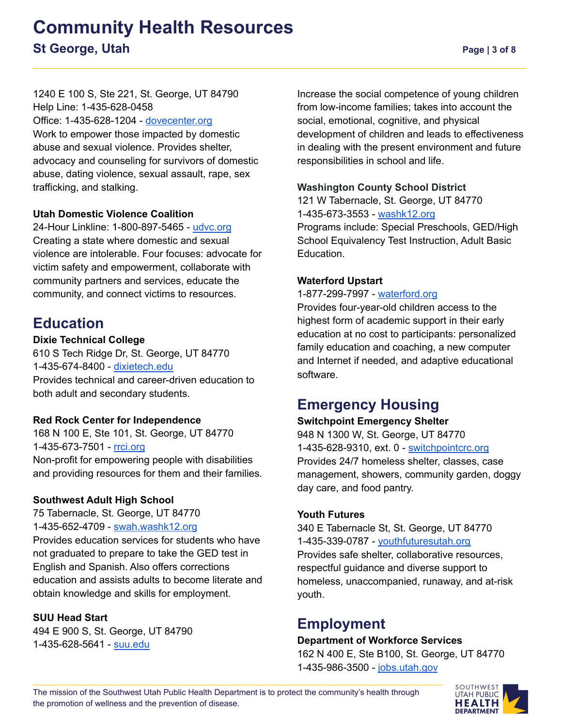#### 1240 E 100 S, Ste 221, St. George, UT 84790 Help Line: 1-435-628-0458

Office: 1-435-628-1204 - [dovecenter.org](https://dovecenter.org/)

Work to empower those impacted by domestic abuse and sexual violence. Provides shelter, advocacy and counseling for survivors of domestic abuse, dating violence, sexual assault, rape, sex trafficking, and stalking.

#### **Utah Domestic Violence Coalition**

24-Hour Linkline: 1-800-897-5465 - [udvc.org](https://www.udvc.org/) Creating a state where domestic and sexual violence are intolerable. Four focuses: advocate for victim safety and empowerment, collaborate with community partners and services, educate the community, and connect victims to resources.

### **Education**

#### **Dixie Technical College**

610 S Tech Ridge Dr, St. George, UT 84770 1-435-674-8400 - [dixietech.edu](http://dixietech.edu/) Provides technical and career-driven education to both adult and secondary students.

#### **Red Rock Center for Independence**

168 N 100 E, Ste 101, St. George, UT 84770 1-435-673-7501 - [rrci.org](http://www.rrci.org) Non-profit for empowering people with disabilities and providing resources for them and their families.

#### **Southwest Adult High School**

75 Tabernacle, St. George, UT 84770 1-435-652-4709 - [swah.washk12.org](https://swah.washk12.org/)

Provides education services for students who have not graduated to prepare to take the GED test in English and Spanish. Also offers corrections education and assists adults to become literate and obtain knowledge and skills for employment.

#### **SUU Head Start**

494 E 900 S, St. George, UT 84790 1-435-628-5641 - [suu.edu](http://www.suu.edu)

Increase the social competence of young children from low-income families; takes into account the social, emotional, cognitive, and physical development of children and leads to effectiveness in dealing with the present environment and future responsibilities in school and life.

#### **Washington County School District**

121 W Tabernacle, St. George, UT 84770 1-435-673-3553 - [washk12.org](http://www.washk12.org/) Programs include: Special Preschools, GED/High School Equivalency Test Instruction, Adult Basic Education.

#### **Waterford Upstart**

1-877-299-7997 - [waterford.org](https://www.waterford.org/)

Provides four-year-old children access to the highest form of academic support in their early education at no cost to participants: personalized family education and coaching, a new computer and Internet if needed, and adaptive educational software.

### **Emergency Housing**

#### **Switchpoint Emergency Shelter**

948 N 1300 W, St. [George,](https://www.google.com/maps/dir/948+N+1300+W,+St.+George,+UT//@37.1245322,-113.6137022,17z/data=!4m9!4m8!1m5!1m1!1s0x80ca448504ad713b:0xb699de0fd41ae18c!2m2!1d-113.6115135!2d37.1245322!1m0!3e0) UT 84770 1-435-628-9310, ext. 0 - [switchpointcrc.org](https://switchpointcrc.org/emergency-shelter/) Provides 24/7 homeless shelter, classes, case management, showers, community garden, doggy day care, and food pantry.

#### **Youth Futures**

340 E Tabernacle St, St. George, UT 84770 1-435-339-0787 - [youthfuturesutah.org](https://youthfuturesutah.org/index.php/programs/shelter) Provides safe shelter, collaborative resources, respectful guidance and diverse support to homeless, unaccompanied, runaway, and at-risk youth.

### **Employment**

#### **Department of Workforce Services**

162 N 400 E, Ste B100, St. George, UT 84770 1-435-986-3500 - [jobs.utah.gov](http://jobs.utah.gov/)

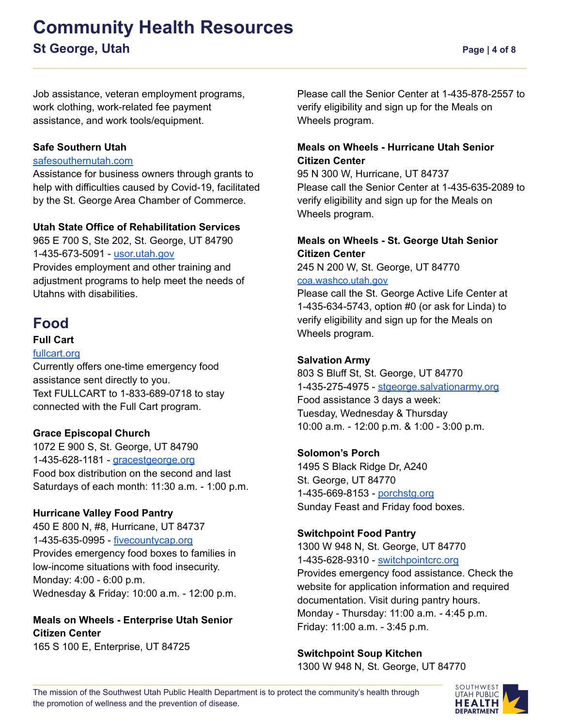# **Community Health Resources St George, Utah Page | 4 of 8**

Job assistance, veteran employment programs, work clothing, work-related fee payment assistance, and work tools/equipment.

#### **Safe Southern Utah**

#### [safesouthernutah.com](http://www.safesouthernutah.com)

Assistance for business owners through grants to help with difficulties caused by Covid-19, facilitated by the St. George Area Chamber of Commerce.

#### **Utah State Office of Rehabilitation Services**

965 E 700 S, Ste 202, St. George, UT 84790 1-435-673-5091 - [usor.utah.gov](http://usor.utah.gov/) Provides employment and other training and adjustment programs to help meet the needs of Utahns with disabilities.

### **Food**

#### **Full Cart**

#### [fullcart.org](https://fullcart.org/)

Currently offers one-time emergency food assistance sent directly to you. Text FULLCART to 1-833-689-0718 to stay connected with the Full Cart program.

#### **Grace Episcopal Church**

1072 E 900 S, St. George, UT 84790 1-435-628-1181 - [gracestgeorge.org](https://gracestgeorge.org/) Food box distribution on the second and last Saturdays of each month: 11:30 a.m. - 1:00 p.m.

#### **Hurricane Valley Food Pantry**

450 E 800 N, #8, Hurricane, UT 84737 1-435-635-0995 - [fivecountycap.org](https://fivecountycap.org/hurricane-valley-food-pantry/) Provides emergency food boxes to families in low-income situations with food insecurity. Monday: 4:00 - 6:00 p.m. Wednesday & Friday: 10:00 a.m. - 12:00 p.m.

#### **Meals on Wheels - Enterprise Utah Senior Citizen Center**

165 S 100 E, Enterprise, UT 84725

Please call the Senior Center at 1-435-878-2557 to verify eligibility and sign up for the Meals on Wheels program.

#### **Meals on Wheels - Hurricane Utah Senior Citizen Center**

95 N 300 W, Hurricane, UT 84737 Please call the Senior Center at 1-435-635-2089 to verify eligibility and sign up for the Meals on Wheels program.

#### **Meals on Wheels - St. George Utah Senior Citizen Center**

245 N 200 W, St. George, UT 84770 [coa.washco.utah.gov](http://coa.washco.utah.gov/st-george/meals-on-wheels/)

Please call the St. George Active Life Center at 1-435-634-5743, option #0 (or ask for Linda) to verify eligibility and sign up for the Meals on Wheels program.

#### **Salvation Army**

803 S Bluff St, St. George, UT 84770 1-435-275-4975 - [stgeorge.salvationarmy.org](https://stgeorge.salvationarmy.org/st_george_service_unit) Food assistance 3 days a week: Tuesday, Wednesday & Thursday 10:00 a.m. - 12:00 p.m. & 1:00 - 3:00 p.m.

#### **Solomon's Porch**

1495 S Black Ridge Dr, A240 St. George, UT 84770 1-435-669-8153 - [porchstg.org](https://www.porchstg.org/services) Sunday Feast and Friday food boxes.

#### **Switchpoint Food Pantry**

1300 W 948 N, St. George, UT 84770 1-435-628-9310 - [switchpointcrc.org](https://switchpointcrc.org/) Provides emergency food assistance. Check the website for application information and required documentation. Visit during pantry hours. Monday - Thursday: 11:00 a.m. - 4:45 p.m. Friday: 11:00 a.m. - 3:45 p.m.

#### **Switchpoint Soup Kitchen**

1300 W 948 N, St. George, UT 84770

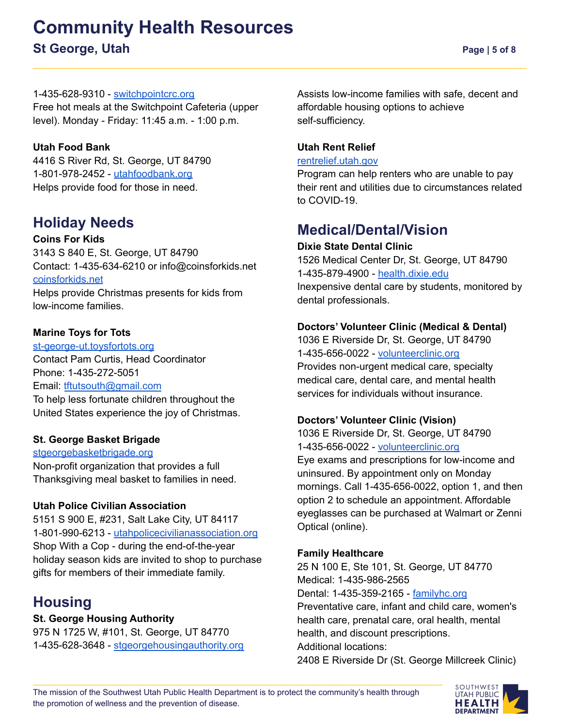# **Community Health Resources St George, Utah Page | 5 of 8**

#### 1-435-628-9310 - [switchpointcrc.org](https://switchpointcrc.org/)

Free hot meals at the Switchpoint Cafeteria (upper level). Monday - Friday: 11:45 a.m. - 1:00 p.m.

#### **Utah Food Bank**

4416 S River Rd, St. George, UT 84790 1-801-978-2452 - [utahfoodbank.org](http://www.utahfoodbank.org/programs/) Helps provide food for those in need.

### **Holiday Needs**

**Coins For Kids** 3143 S 840 E, St. George, UT 84790 Contact: 1-435-634-6210 or info@coinsforkids.net [coinsforkids.net](https://coinsforkids.net/) Helps provide Christmas presents for kids from low-income families.

#### **Marine Toys for Tots**

[st-george-ut.toysfortots.org](https://st-george-ut.toysfortots.org/local-coordinator-sites/lco-sites/Default.aspx) Contact Pam Curtis, Head Coordinator Phone: 1-435-272-5051 Email: [tftutsouth@gmail.com](mailto:tftutsouth@gmail.com) To help less fortunate children throughout the United States experience the joy of Christmas.

#### **St. George Basket Brigade**

[stgeorgebasketbrigade.org](http://stgeorgebasketbrigade.org/) Non-profit organization that provides a full Thanksgiving meal basket to families in need.

#### **Utah Police Civilian Association**

5151 S 900 E, #231, Salt Lake City, UT 84117 1-801-990-6213 - [utahpolicecivilianassociation.org](https://utahpolicecivilianassociation.org/) Shop With a Cop - during the end-of-the-year holiday season kids are invited to shop to purchase gifts for members of their immediate family.

# **Housing**

#### **St. George Housing Authority**

975 N 1725 W, #101, St. George, UT 84770 1-435-628-3648 - [stgeorgehousingauthority.org](http://www.stgeorgehousingauthority.org/index.html) Assists low-income families with safe, decent and affordable housing options to achieve self-sufficiency.

#### **Utah Rent Relief**

#### [rentrelief.utah.gov](https://rentrelief.utah.gov/)

Program can help renters who are unable to pay their rent and utilities due to circumstances related to COVID-19.

### **Medical/Dental/Vision**

#### **Dixie State Dental Clinic**

1526 Medical Center Dr, St. George, UT 84790 1-435-879-4900 - [health.dixie.edu](https://health.dixie.edu/dental-hygiene/clinic/) Inexpensive dental care by students, monitored by dental professionals.

#### **Doctors' Volunteer Clinic (Medical & Dental)**

1036 E Riverside Dr, St. George, UT 84790 1-435-656-0022 - [volunteerclinic.org](https://www.volunteerclinic.org/) Provides non-urgent medical care, specialty medical care, dental care, and mental health services for individuals without insurance.

#### **Doctors' Volunteer Clinic (Vision)**

1036 E Riverside Dr, St. George, UT 84790 1-435-656-0022 - [volunteerclinic.org](https://www.volunteerclinic.org/) Eye exams and prescriptions for low-income and uninsured. By appointment only on Monday mornings. Call 1-435-656-0022, option 1, and then option 2 to schedule an appointment. Affordable eyeglasses can be purchased at Walmart or Zenni Optical (online).

#### **Family Healthcare**

25 N 100 E, Ste 101, St. George, UT 84770 Medical: 1-435-986-2565 Dental: 1-435-359-2165 - [familyhc.org](https://familyhc.org/st-george-clinic/) Preventative care, infant and child care, women's health care, prenatal care, oral health, mental health, and discount prescriptions. Additional locations: 2408 E Riverside Dr (St. George Millcreek Clinic)

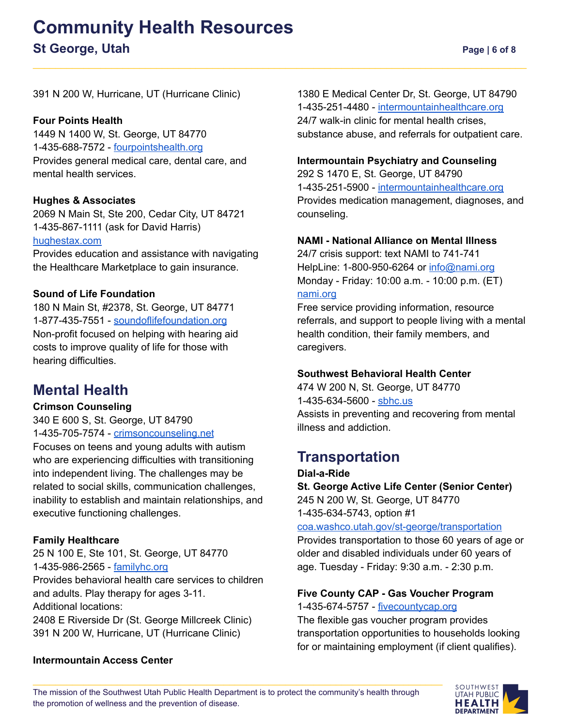# **Community Health Resources St George, Utah Page | 6 of 8**

391 N 200 W, Hurricane, UT (Hurricane Clinic)

#### **Four Points Health**

1449 N 1400 W, St. George, UT 84770 1-[435-688-7572](https://www.google.com/search?q=four+points+health+st.+george&rlz=1C1EJFC_enUS937US937&oq=four+points+health+st.+george&aqs=chrome.0.69i59j0i22i30.7860j0j4&sourceid=chrome&ie=UTF-8#) - [fourpointshealth.org](https://fourpointshealth.org/) Provides general medical care, dental care, and mental health services.

#### **Hughes & Associates**

2069 N Main St, Ste 200, Cedar City, UT 84721 1-435-867-1111 (ask for David Harris) [hughestax.com](http://www.hughestax.com/)

Provides education and assistance with navigating the Healthcare Marketplace to gain insurance.

#### **Sound of Life Foundation**

180 N Main St, #2378, St. George, UT 84771 1-877-435-7551 - [soundoflifefoundation.org](https://soundoflifefoundation.org/) Non-profit focused on helping with hearing aid costs to improve quality of life for those with hearing difficulties.

### **Mental Health**

#### **Crimson Counseling**

340 E 600 S, St. George, UT 84790 1-435-705-7574 - [crimsoncounseling.net](https://crimsoncounseling.net/)

Focuses on teens and young adults with autism who are experiencing difficulties with transitioning into independent living. The challenges may be related to social skills, communication challenges, inability to establish and maintain relationships, and executive functioning challenges.

#### **Family Healthcare**

25 N 100 E, Ste 101, St. George, UT 84770 1-435-986-2565 - [familyhc.org](https://familyhc.org/st-george-clinic/) Provides behavioral health care services to children and adults. Play therapy for ages 3-11.

Additional locations:

2408 E Riverside Dr (St. George Millcreek Clinic) 391 N 200 W, Hurricane, UT (Hurricane Clinic)

1380 E Medical Center Dr, St. George, UT 84790 1-435-251-4480 - [intermountainhealthcare.org](https://intermountainhealthcare.org/) 24/7 walk-in clinic for mental health crises, substance abuse, and referrals for outpatient care.

#### **Intermountain Psychiatry and Counseling**

292 S 1470 E, St. George, UT 84790 1-435-251-5900 - [intermountainhealthcare.org](https://intermountainhealthcare.org/locations/st-george-psychiatry-counseling/) Provides medication management, diagnoses, and counseling.

#### **NAMI - National Alliance on Mental Illness**

24/7 crisis support: text NAMI to 741-741 HelpLine: 1-800-950-6264 or [info@nami.org](mailto:info@nami.org) Monday - Friday: 10:00 a.m. - 10:00 p.m. (ET) [nami.org](https://www.nami.org/Home)

Free service providing information, resource referrals, and support to people living with a mental health condition, their family members, and caregivers.

#### **Southwest Behavioral Health Center**

474 W 200 N, St. George, UT 84770 1-435-634-5600 - [sbhc.us](http://www.sbhc.us/) Assists in preventing and recovering from mental illness and addiction.

# **Transportation**

**Dial-a-Ride St. George Active Life Center (Senior Center)** 245 N 200 W, St. George, UT 84770 1-435-634-5743, option #1

[coa.washco.utah.gov/st-george/transportation](http://www.coa.washco.utah.gov/st-george/transportation)

Provides transportation to those 60 years of age or older and disabled individuals under 60 years of age. Tuesday - Friday: 9:30 a.m. - 2:30 p.m.

#### **Five County CAP - Gas Voucher Program**

1-435-674-5757 - [fivecountycap.org](https://fivecountycap.org/gas-voucher-program/)

The flexible gas voucher program provides transportation opportunities to households looking for or maintaining employment (if client qualifies).

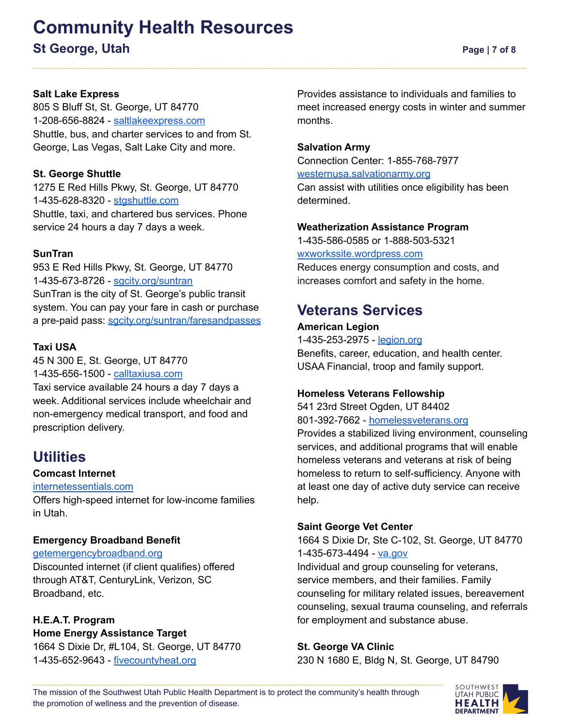# **Community Health Resources**

### **St George, Utah Page | 7 of 8**

#### **Salt Lake Express**

805 S Bluff St, St. George, UT 84770 1-208-656-8824 - [saltlakeexpress.com](http://www.saltlakeexpress.com) Shuttle, bus, and charter services to and from St. George, Las Vegas, Salt Lake City and more.

#### **St. George Shuttle**

1275 E Red Hills Pkwy, St. George, UT 84770 1-435-628-8320 - [stgshuttle.com](http://www.stgshuttle.com) Shuttle, taxi, and chartered bus services. Phone service 24 hours a day 7 days a week.

#### **SunTran**

953 E Red Hills Pkwy, St. George, UT 84770 1-435-673-8726 - [sgcity.org/suntran](http://www.sgcity.org/suntran) SunTran is the city of St. George's public transit system. You can pay your fare in cash or purchase a pre-paid pass: [sgcity.org/suntran/faresandpasses](http://www.sgcity.org/suntran/faresandpasses)

#### **Taxi USA**

45 N 300 E, St. George, UT 84770 1-435-656-1500 - [calltaxiusa.com](http://www.calltaxiusa.com) Taxi service available 24 hours a day 7 days a week. Additional services include wheelchair and non-emergency medical transport, and food and prescription delivery.

### **Utilities**

#### **Comcast Internet**

#### [internetessentials.com](https://www.internetessentials.com/)

Offers high-speed internet for low-income families in Utah.

#### **Emergency Broadband Benefit**

#### [getemergencybroadband.org](https://getemergencybroadband.org/)

Discounted internet (if client qualifies) offered through AT&T, CenturyLink, Verizon, SC Broadband, etc.

#### **H.E.A.T. Program**

**Home Energy Assistance Target** 1664 S Dixie Dr, #L104, St. George, UT 84770 1-435-652-9643 - [fivecountyheat.org](https://fivecountyheat.org)

Provides assistance to individuals and families to meet increased energy costs in winter and summer months.

#### **Salvation Army**

Connection Center: 1-855-768-7977 [westernusa.salvationarmy.org](https://westernusa.salvationarmy.org/intermountain_us_west/covid-19-get-help/)

Can assist with utilities once eligibility has been determined.

#### **Weatherization Assistance Program**

1-435-586-0585 or 1-888-503-5321

[wxworkssite.wordpress.com](https://wxworkssite.wordpress.com)

Reduces energy consumption and costs, and increases comfort and safety in the home.

### **Veterans Services**

#### **American Legion** 1-435-253-2975 - [legion.org](https://www.legion.org/) Benefits, career, education, and health center. USAA Financial, troop and family support.

#### **Homeless Veterans Fellowship**

541 23rd Street Ogden, UT 84402 801-392-7662 - [homelessveterans.org](https://www.homelessveterans.org/) Provides a stabilized living environment, counseling services, and additional programs that will enable homeless veterans and veterans at risk of being

homeless to return to self-sufficiency. Anyone with at least one day of active duty service can receive help.

#### **Saint George Vet Center**

1664 S Dixie Dr, Ste C-102, St. George, UT 84770 1-435-673-4494 - [va.gov](https://www.va.gov/)

Individual and group counseling for veterans, service members, and their families. Family counseling for military related issues, bereavement counseling, sexual trauma counseling, and referrals for employment and substance abuse.

#### **St. George VA Clinic**

230 N 1680 E, Bldg N, St. George, UT 84790